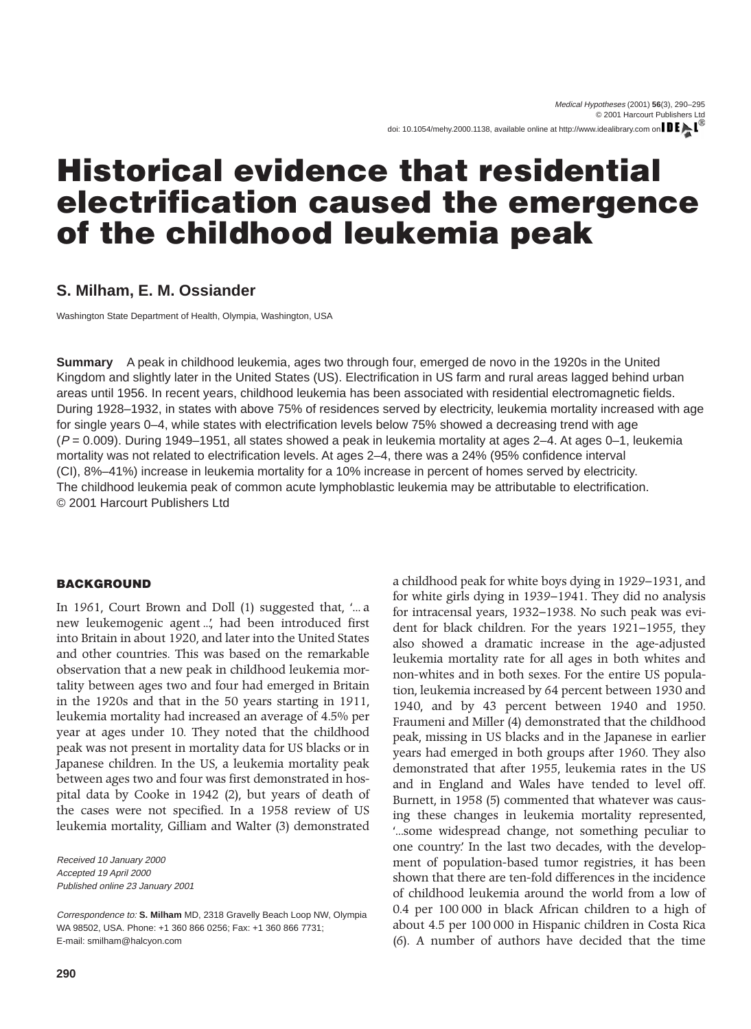# **Historical evidence that residential electrification caused the emergence of the childhood leukemia peak**

# **S. Milham, E. M. Ossiander**

Washington State Department of Health, Olympia, Washington, USA

**Summary** A peak in childhood leukemia, ages two through four, emerged de novo in the 1920s in the United Kingdom and slightly later in the United States (US). Electrification in US farm and rural areas lagged behind urban areas until 1956. In recent years, childhood leukemia has been associated with residential electromagnetic fields. During 1928–1932, in states with above 75% of residences served by electricity, leukemia mortality increased with age for single years 0–4, while states with electrification levels below 75% showed a decreasing trend with age  $(P = 0.009)$ . During 1949–1951, all states showed a peak in leukemia mortality at ages 2–4. At ages 0–1, leukemia mortality was not related to electrification levels. At ages 2–4, there was a 24% (95% confidence interval (CI), 8%–41%) increase in leukemia mortality for a 10% increase in percent of homes served by electricity. The childhood leukemia peak of common acute lymphoblastic leukemia may be attributable to electrification. © 2001 Harcourt Publishers Ltd

## **BACKGROUND**

In 1961, Court Brown and Doll [\(1\)](#page-4-0) suggested that, '... a new leukemogenic agent ...', had been introduced first into Britain in about 1920, and later into the United States and other countries. This was based on the remarkable observation that a new peak in childhood leukemia mortality between ages two and four had emerged in Britain in the 1920s and that in the 50 years starting in 1911, leukemia mortality had increased an average of 4.5% per year at ages under 10. They noted that the childhood peak was not present in mortality data for US blacks or in Japanese children. In the US, a leukemia mortality peak between ages two and four was first demonstrated in hospital data by Cooke in 1942 [\(2\),](#page-4-1) but years of death of the cases were not specified. In a 1958 review of US leukemia mortality, Gilliam and Walter [\(3\)](#page-4-2) demonstrated

Received 10 January 2000 Accepted 19 April 2000 Published online 23 January 2001

Correspondence to: **S. Milham** MD, 2318 Gravelly Beach Loop NW, Olympia WA 98502, USA. Phone: +1 360 866 0256; Fax: +1 360 866 7731; E-mail: smilham@halcyon.com

a childhood peak for white boys dying in 1929–1931, and for white girls dying in 1939–1941. They did no analysis for intracensal years, 1932–1938. No such peak was evident for black children. For the years 1921–1955, they also showed a dramatic increase in the age-adjusted leukemia mortality rate for all ages in both whites and non-whites and in both sexes. For the entire US population, leukemia increased by 64 percent between 1930 and 1940, and by 43 percent between 1940 and 1950. Fraumeni and Miller [\(4\)](#page-4-3) demonstrated that the childhood peak, missing in US blacks and in the Japanese in earlier years had emerged in both groups after 1960. They also demonstrated that after 1955, leukemia rates in the US and in England and Wales have tended to level off. Burnett, in 1958 [\(5\)](#page-4-4) commented that whatever was causing these changes in leukemia mortality represented, '...some widespread change, not something peculiar to one country.' In the last two decades, with the development of population-based tumor registries, it has been shown that there are ten-fold differences in the incidence of childhood leukemia around the world from a low of 0.4 per 100 000 in black African children to a high of about 4.5 per 100 000 in Hispanic children in Costa Rica [\(6\).](#page-4-5) A number of authors have decided that the time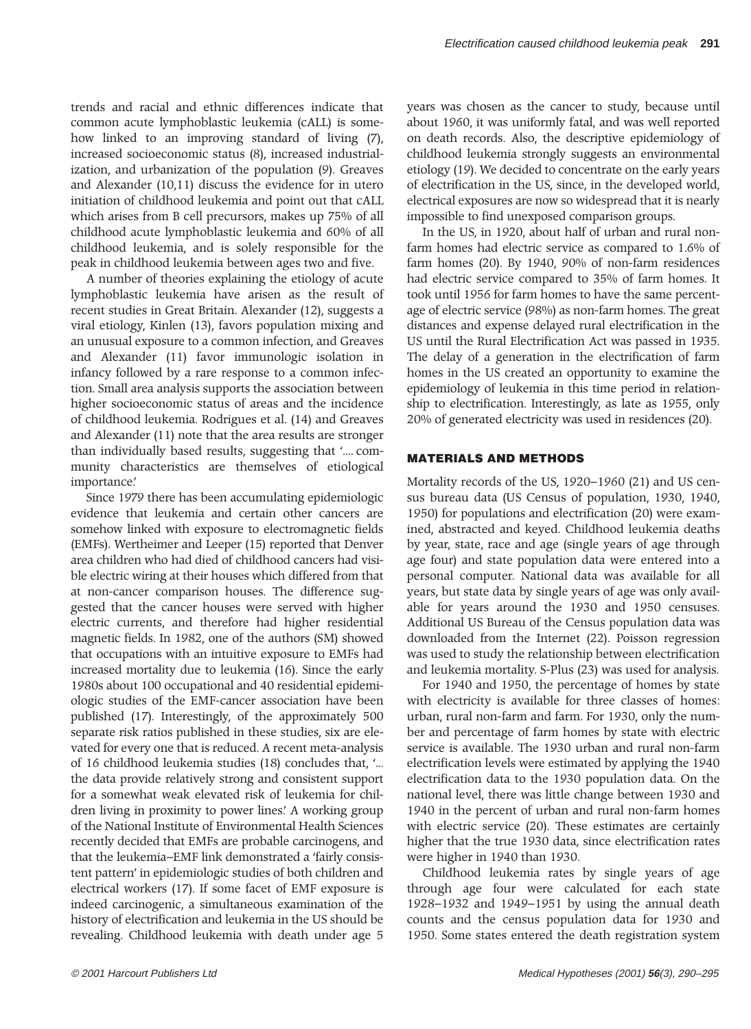increased socioeconomic status [\(8\),](#page-5-0) increased industrialization, and urbanization of the population [\(9\).](#page-5-1) Greaves and Alexander [\(10,](#page-5-2)[11\)](#page-5-3) discuss the evidence for in utero initiation of childhood leukemia and point out that cALL which arises from B cell precursors, makes up 75% of all childhood acute lymphoblastic leukemia and 60% of all childhood leukemia, and is solely responsible for the peak in childhood leukemia between ages two and five.

A number of theories explaining the etiology of acute lymphoblastic leukemia have arisen as the result of recent studies in Great Britain. Alexander [\(12\),](#page-5-4) suggests a viral etiology, Kinlen [\(13\),](#page-5-5) favors population mixing and an unusual exposure to a common infection, and Greaves and Alexander [\(11\)](#page-5-3) favor immunologic isolation in infancy followed by a rare response to a common infection. Small area analysis supports the association between higher socioeconomic status of areas and the incidence of childhood leukemia. Rodrigues et al. [\(14\)](#page-5-6) and Greaves and Alexander [\(11\)](#page-5-3) note that the area results are stronger than individually based results, suggesting that '.... community characteristics are themselves of etiological importance.'

Since 1979 there has been accumulating epidemiologic evidence that leukemia and certain other cancers are somehow linked with exposure to electromagnetic fields (EMFs). Wertheimer and Leeper [\(15\)](#page-5-7) reported that Denver area children who had died of childhood cancers had visible electric wiring at their houses which differed from that at non-cancer comparison houses. The difference suggested that the cancer houses were served with higher electric currents, and therefore had higher residential magnetic fields. In 1982, one of the authors (SM) showed that occupations with an intuitive exposure to EMFs had increased mortality due to leukemia [\(16\).](#page-5-8) Since the early 1980s about 100 occupational and 40 residential epidemiologic studies of the EMF-cancer association have been published [\(17\).](#page-5-9) Interestingly, of the approximately 500 separate risk ratios published in these studies, six are elevated for every one that is reduced. A recent meta-analysis of 16 childhood leukemia studies [\(18\)](#page-5-10) concludes that, '... the data provide relatively strong and consistent support for a somewhat weak elevated risk of leukemia for children living in proximity to power lines.' A working group of the National Institute of Environmental Health Sciences recently decided that EMFs are probable carcinogens, and that the leukemia–EMF link demonstrated a 'fairly consistent pattern' in epidemiologic studies of both children and electrical workers [\(17\).](#page-5-9) If some facet of EMF exposure is indeed carcinogenic, a simultaneous examination of the history of electrification and leukemia in the US should be revealing. Childhood leukemia with death under age 5

years was chosen as the cancer to study, because until about 1960, it was uniformly fatal, and was well reported on death records. Also, the descriptive epidemiology of childhood leukemia strongly suggests an environmental etiology [\(19\).](#page-5-11) We decided to concentrate on the early years of electrification in the US, since, in the developed world, electrical exposures are now so widespread that it is nearly impossible to find unexposed comparison groups.

In the US, in 1920, about half of urban and rural nonfarm homes had electric service as compared to 1.6% of farm homes [\(20\).](#page-5-12) By 1940, 90% of non-farm residences had electric service compared to 35% of farm homes. It took until 1956 for farm homes to have the same percentage of electric service (98%) as non-farm homes. The great distances and expense delayed rural electrification in the US until the Rural Electrification Act was passed in 1935. The delay of a generation in the electrification of farm homes in the US created an opportunity to examine the epidemiology of leukemia in this time period in relationship to electrification. Interestingly, as late as 1955, only 20% of generated electricity was used in residences [\(20\).](#page-5-12)

#### **MATERIALS AND METHODS**

Mortality records of the US, 1920–1960 [\(21\)](#page-5-13) and US census bureau data (US Census of population, 1930, 1940, 1950) for populations and electrification [\(20\)](#page-5-12) were examined, abstracted and keyed. Childhood leukemia deaths by year, state, race and age (single years of age through age four) and state population data were entered into a personal computer. National data was available for all years, but state data by single years of age was only available for years around the 1930 and 1950 censuses. Additional US Bureau of the Census population data was downloaded from the Internet [\(22\).](#page-5-14) Poisson regression was used to study the relationship between electrification and leukemia mortality. S-Plus [\(23\)](#page-5-15) was used for analysis.

For 1940 and 1950, the percentage of homes by state with electricity is available for three classes of homes: urban, rural non-farm and farm. For 1930, only the number and percentage of farm homes by state with electric service is available. The 1930 urban and rural non-farm electrification levels were estimated by applying the 1940 electrification data to the 1930 population data. On the national level, there was little change between 1930 and 1940 in the percent of urban and rural non-farm homes with electric service [\(20\).](#page-5-12) These estimates are certainly higher that the true 1930 data, since electrification rates were higher in 1940 than 1930.

Childhood leukemia rates by single years of age through age four were calculated for each state 1928–1932 and 1949–1951 by using the annual death counts and the census population data for 1930 and 1950. Some states entered the death registration system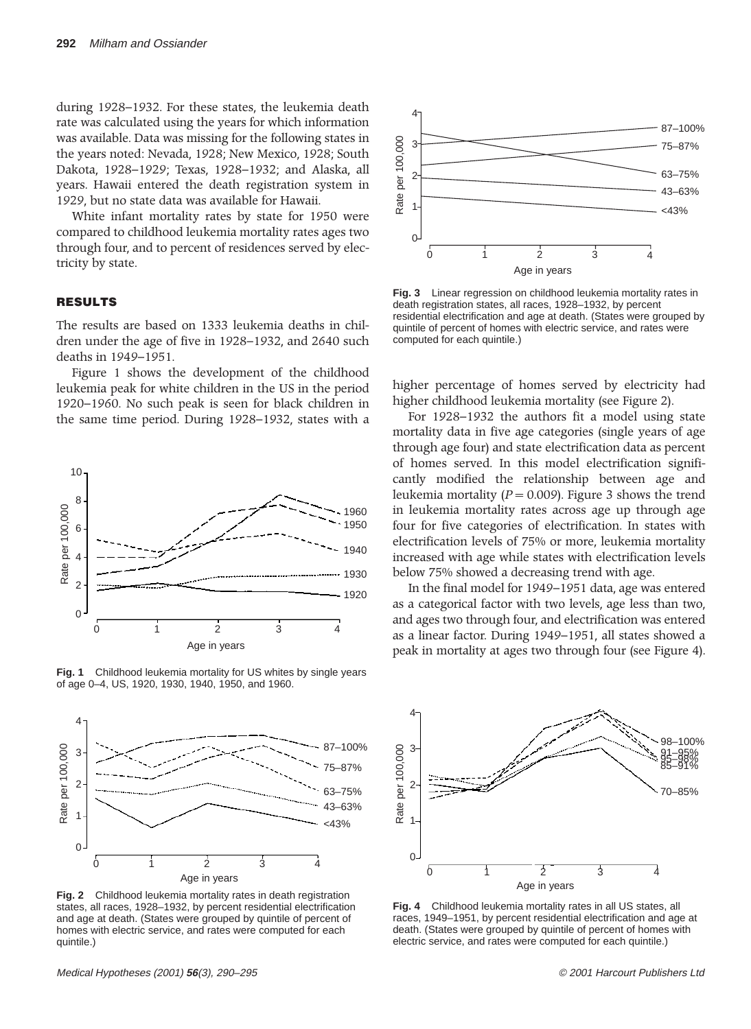during 1928–1932. For these states, the leukemia death rate was calculated using the years for which information was available. Data was missing for the following states in the years noted: Nevada, 1928; New Mexico, 1928; South Dakota, 1928–1929; Texas, 1928–1932; and Alaska, all years. Hawaii entered the death registration system in 1929, but no state data was available for Hawaii.

White infant mortality rates by state for 1950 were compared to childhood leukemia mortality rates ages two through four, and to percent of residences served by electricity by state.

#### **RESULTS**

The results are based on 1333 leukemia deaths in children under the age of five in 1928–1932, and 2640 such deaths in 1949–1951.

[Figure 1](#page-2-0) shows the development of the childhood leukemia peak for white children in the US in the period 1920–1960. No such peak is seen for black children in the same time period. During 1928–1932, states with a

<span id="page-2-0"></span>

**Fig. 1** Childhood leukemia mortality for US whites by single years of age 0–4, US, 1920, 1930, 1940, 1950, and 1960.

<span id="page-2-1"></span>

**Fig. 2** Childhood leukemia mortality rates in death registration states, all races, 1928–1932, by percent residential electrification and age at death. (States were grouped by quintile of percent of homes with electric service, and rates were computed for each quintile.)

<span id="page-2-2"></span>

**Fig. 3** Linear regression on childhood leukemia mortality rates in death registration states, all races, 1928–1932, by percent residential electrification and age at death. (States were grouped by quintile of percent of homes with electric service, and rates were computed for each quintile.)

higher percentage of homes served by electricity had higher childhood leukemia mortality (see [Figure 2\).](#page-2-1)

For 1928–1932 the authors fit a model using state mortality data in five age categories (single years of age through age four) and state electrification data as percent of homes served. In this model electrification significantly modified the relationship between age and leukemia mortality  $(P = 0.009)$ . [Figure 3](#page-2-2) shows the trend in leukemia mortality rates across age up through age four for five categories of electrification. In states with electrification levels of 75% or more, leukemia mortality increased with age while states with electrification levels below 75% showed a decreasing trend with age.

In the final model for 1949–1951 data, age was entered as a categorical factor with two levels, age less than two, and ages two through four, and electrification was entered as a linear factor. During 1949–1951, all states showed a peak in mortality at ages two through four (see [Figure 4\).](#page-2-3)

<span id="page-2-3"></span>

**Fig. 4** Childhood leukemia mortality rates in all US states, all races, 1949–1951, by percent residential electrification and age at death. (States were grouped by quintile of percent of homes with electric service, and rates were computed for each quintile.)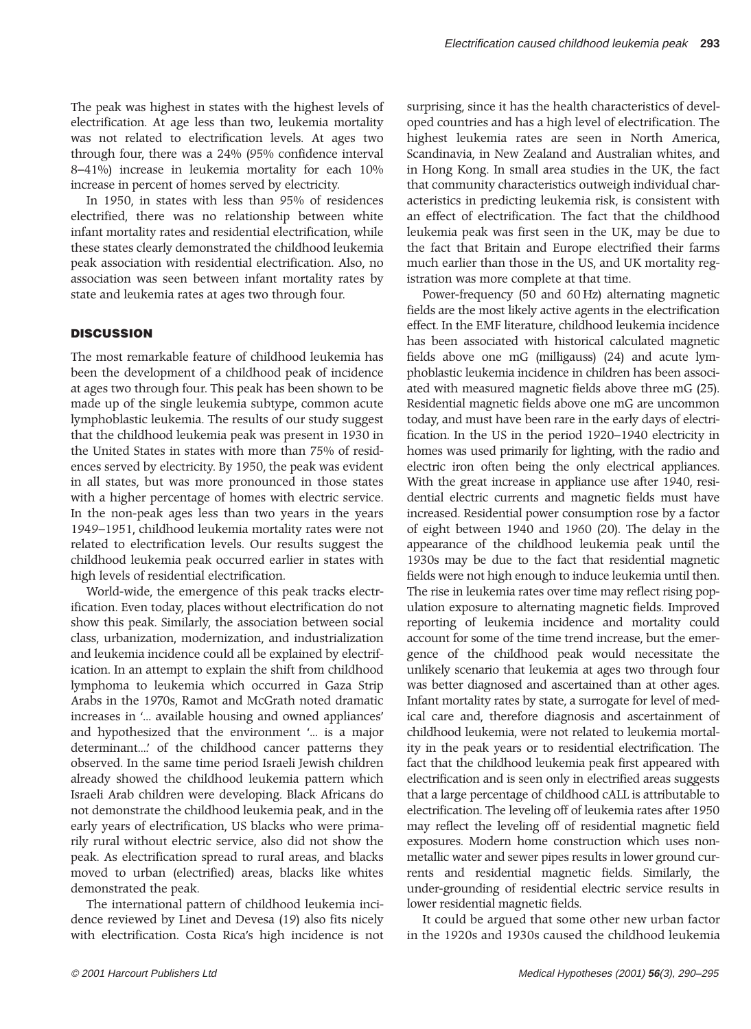The peak was highest in states with the highest levels of electrification. At age less than two, leukemia mortality was not related to electrification levels. At ages two through four, there was a 24% (95% confidence interval 8–41%) increase in leukemia mortality for each 10% increase in percent of homes served by electricity.

In 1950, in states with less than 95% of residences electrified, there was no relationship between white infant mortality rates and residential electrification, while these states clearly demonstrated the childhood leukemia peak association with residential electrification. Also, no association was seen between infant mortality rates by state and leukemia rates at ages two through four.

### **DISCUSSION**

The most remarkable feature of childhood leukemia has been the development of a childhood peak of incidence at ages two through four. This peak has been shown to be made up of the single leukemia subtype, common acute lymphoblastic leukemia. The results of our study suggest that the childhood leukemia peak was present in 1930 in the United States in states with more than 75% of residences served by electricity. By 1950, the peak was evident in all states, but was more pronounced in those states with a higher percentage of homes with electric service. In the non-peak ages less than two years in the years 1949–1951, childhood leukemia mortality rates were not related to electrification levels. Our results suggest the childhood leukemia peak occurred earlier in states with high levels of residential electrification.

World-wide, the emergence of this peak tracks electrification. Even today, places without electrification do not show this peak. Similarly, the association between social class, urbanization, modernization, and industrialization and leukemia incidence could all be explained by electrification. In an attempt to explain the shift from childhood lymphoma to leukemia which occurred in Gaza Strip Arabs in the 1970s, Ramot and McGrath noted dramatic increases in '... available housing and owned appliances' and hypothesized that the environment '... is a major determinant....' of the childhood cancer patterns they observed. In the same time period Israeli Jewish children already showed the childhood leukemia pattern which Israeli Arab children were developing. Black Africans do not demonstrate the childhood leukemia peak, and in the early years of electrification, US blacks who were primarily rural without electric service, also did not show the peak. As electrification spread to rural areas, and blacks moved to urban (electrified) areas, blacks like whites demonstrated the peak.

The international pattern of childhood leukemia incidence reviewed by Linet and Devesa [\(19\)](#page-5-16) also fits nicely with electrification. Costa Rica's high incidence is not

surprising, since it has the health characteristics of developed countries and has a high level of electrification. The highest leukemia rates are seen in North America, Scandinavia, in New Zealand and Australian whites, and in Hong Kong. In small area studies in the UK, the fact that community characteristics outweigh individual characteristics in predicting leukemia risk, is consistent with an effect of electrification. The fact that the childhood leukemia peak was first seen in the UK, may be due to the fact that Britain and Europe electrified their farms much earlier than those in the US, and UK mortality registration was more complete at that time.

Power-frequency (50 and 60 Hz) alternating magnetic fields are the most likely active agents in the electrification effect. In the EMF literature, childhood leukemia incidence has been associated with historical calculated magnetic fields above one mG (milligauss) [\(24\)](#page-5-17) and acute lymphoblastic leukemia incidence in children has been associated with measured magnetic fields above three mG [\(25\).](#page-5-18) Residential magnetic fields above one mG are uncommon today, and must have been rare in the early days of electrification. In the US in the period 1920–1940 electricity in homes was used primarily for lighting, with the radio and electric iron often being the only electrical appliances. With the great increase in appliance use after 1940, residential electric currents and magnetic fields must have increased. Residential power consumption rose by a factor of eight between 1940 and 1960 [\(20\).](#page-5-19) The delay in the appearance of the childhood leukemia peak until the 1930s may be due to the fact that residential magnetic fields were not high enough to induce leukemia until then. The rise in leukemia rates over time may reflect rising population exposure to alternating magnetic fields. Improved reporting of leukemia incidence and mortality could account for some of the time trend increase, but the emergence of the childhood peak would necessitate the unlikely scenario that leukemia at ages two through four was better diagnosed and ascertained than at other ages. Infant mortality rates by state, a surrogate for level of medical care and, therefore diagnosis and ascertainment of childhood leukemia, were not related to leukemia mortality in the peak years or to residential electrification. The fact that the childhood leukemia peak first appeared with electrification and is seen only in electrified areas suggests that a large percentage of childhood cALL is attributable to electrification. The leveling off of leukemia rates after 1950 may reflect the leveling off of residential magnetic field exposures. Modern home construction which uses nonmetallic water and sewer pipes results in lower ground currents and residential magnetic fields. Similarly, the under-grounding of residential electric service results in lower residential magnetic fields.

It could be argued that some other new urban factor in the 1920s and 1930s caused the childhood leukemia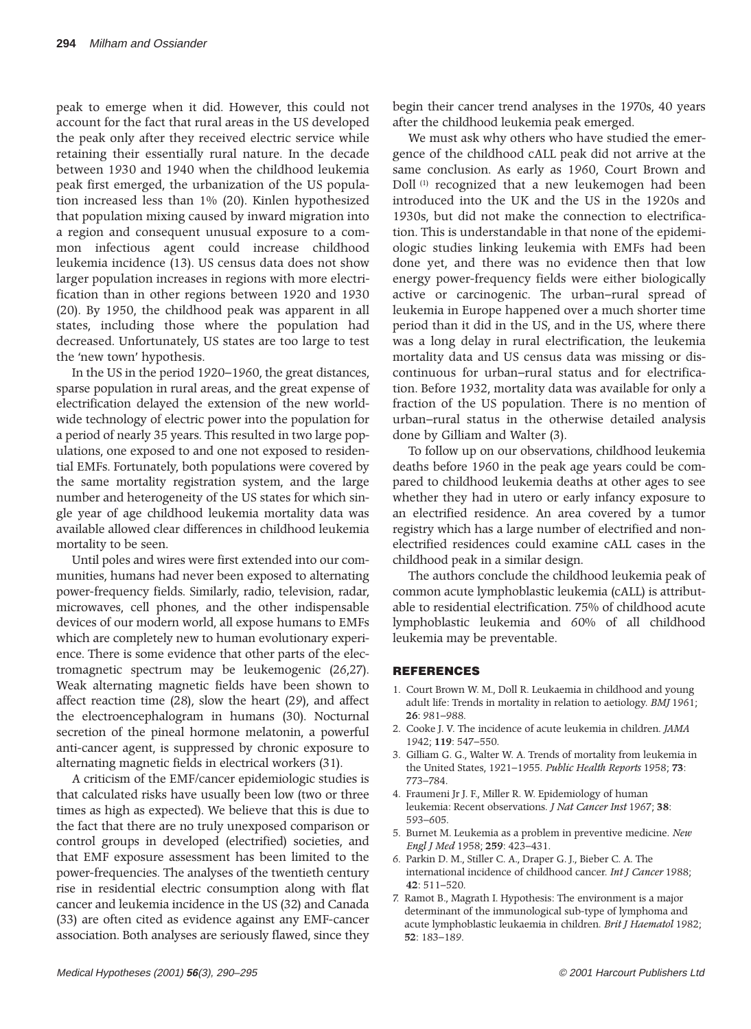peak to emerge when it did. However, this could not account for the fact that rural areas in the US developed the peak only after they received electric service while retaining their essentially rural nature. In the decade between 1930 and 1940 when the childhood leukemia peak first emerged, the urbanization of the US population increased less than 1% [\(20\).](#page-5-20) Kinlen hypothesized that population mixing caused by inward migration into a region and consequent unusual exposure to a common infectious agent could increase childhood leukemia incidence [\(13\).](#page-5-21) US census data does not show larger population increases in regions with more electrification than in other regions between 1920 and 1930 [\(20\).](#page-5-20) By 1950, the childhood peak was apparent in all states, including those where the population had decreased. Unfortunately, US states are too large to test the 'new town' hypothesis.

In the US in the period 1920–1960, the great distances, sparse population in rural areas, and the great expense of electrification delayed the extension of the new worldwide technology of electric power into the population for a period of nearly 35 years. This resulted in two large populations, one exposed to and one not exposed to residential EMFs. Fortunately, both populations were covered by the same mortality registration system, and the large number and heterogeneity of the US states for which single year of age childhood leukemia mortality data was available allowed clear differences in childhood leukemia mortality to be seen.

Until poles and wires were first extended into our communities, humans had never been exposed to alternating power-frequency fields. Similarly, radio, television, radar, microwaves, cell phones, and the other indispensable devices of our modern world, all expose humans to EMFs which are completely new to human evolutionary experience. There is some evidence that other parts of the electromagnetic spectrum may be leukemogenic [\(26](#page-5-22)[,27\).](#page-5-23) Weak alternating magnetic fields have been shown to affect reaction time [\(28\),](#page-5-24) slow the heart [\(29\),](#page-5-25) and affect the electroencephalogram in humans [\(30\).](#page-5-26) Nocturnal secretion of the pineal hormone melatonin, a powerful anti-cancer agent, is suppressed by chronic exposure to alternating magnetic fields in electrical workers [\(31\).](#page-5-27)

A criticism of the EMF/cancer epidemiologic studies is that calculated risks have usually been low (two or three times as high as expected). We believe that this is due to the fact that there are no truly unexposed comparison or control groups in developed (electrified) societies, and that EMF exposure assessment has been limited to the power-frequencies. The analyses of the twentieth century rise in residential electric consumption along with flat cancer and leukemia incidence in the US [\(32\)](#page-5-28) and Canada [\(33\)](#page-5-29) are often cited as evidence against any EMF-cancer association. Both analyses are seriously flawed, since they begin their cancer trend analyses in the 1970s, 40 years after the childhood leukemia peak emerged.

We must ask why others who have studied the emergence of the childhood cALL peak did not arrive at the same conclusion. As early as 1960, Court Brown and Doll (1) recognized that a new leukemogen had been introduced into the UK and the US in the 1920s and 1930s, but did not make the connection to electrification. This is understandable in that none of the epidemiologic studies linking leukemia with EMFs had been done yet, and there was no evidence then that low energy power-frequency fields were either biologically active or carcinogenic. The urban–rural spread of leukemia in Europe happened over a much shorter time period than it did in the US, and in the US, where there was a long delay in rural electrification, the leukemia mortality data and US census data was missing or discontinuous for urban–rural status and for electrification. Before 1932, mortality data was available for only a fraction of the US population. There is no mention of urban–rural status in the otherwise detailed analysis done by Gilliam and Walter [\(3\).](#page-4-6) 

To follow up on our observations, childhood leukemia deaths before 1960 in the peak age years could be compared to childhood leukemia deaths at other ages to see whether they had in utero or early infancy exposure to an electrified residence. An area covered by a tumor registry which has a large number of electrified and nonelectrified residences could examine cALL cases in the childhood peak in a similar design.

The authors conclude the childhood leukemia peak of common acute lymphoblastic leukemia (cALL) is attributable to residential electrification. 75% of childhood acute lymphoblastic leukemia and 60% of all childhood leukemia may be preventable.

#### **REFERENCES**

- <span id="page-4-0"></span>1. Court Brown W. M., Doll R. Leukaemia in childhood and young adult life: Trends in mortality in relation to aetiology. *BMJ* 1961; **26**: 981–988.
- <span id="page-4-1"></span>2. Cooke J. V. The incidence of acute leukemia in children. *JAMA* 1942; **119**: 547–550.
- <span id="page-4-6"></span><span id="page-4-5"></span><span id="page-4-4"></span><span id="page-4-3"></span><span id="page-4-2"></span>3. Gilliam G. G., Walter W. A. Trends of mortality from leukemia in the United States, 1921–1955. *Public Health Reports* 1958; **73**: 773–784.
- 4. Fraumeni Jr J. F., Miller R. W. Epidemiology of human leukemia: Recent observations. *J Nat Cancer Inst* 1967; **38**: 593–605.
- 5. Burnet M. Leukemia as a problem in preventive medicine. *New Engl J Med* 1958; **259**: 423–431.
- 6. Parkin D. M., Stiller C. A., Draper G. J., Bieber C. A. The international incidence of childhood cancer. *Int J Cancer* 1988; **42**: 511–520.
- 7. Ramot B., Magrath I. Hypothesis: The environment is a major determinant of the immunological sub-type of lymphoma and acute lymphoblastic leukaemia in children. *Brit J Haematol* 1982; **52**: 183–189.